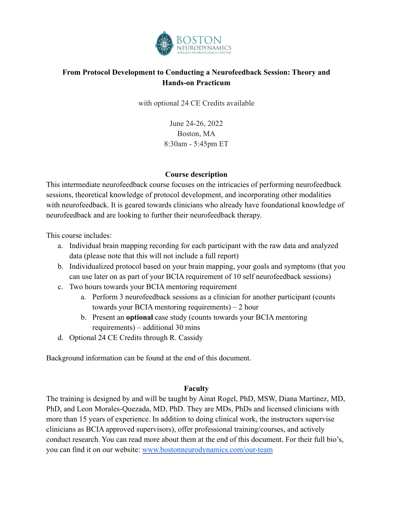

# **From Protocol Development to Conducting a Neurofeedback Session: Theory and Hands-on Practicum**

with optional 24 CE Credits available

June 24-26, 2022 Boston, MA 8:30am - 5:45pm ET

## **Course description**

This intermediate neurofeedback course focuses on the intricacies of performing neurofeedback sessions, theoretical knowledge of protocol development, and incorporating other modalities with neurofeedback. It is geared towards clinicians who already have foundational knowledge of neurofeedback and are looking to further their neurofeedback therapy.

This course includes:

- a. Individual brain mapping recording for each participant with the raw data and analyzed data (please note that this will not include a full report)
- b. Individualized protocol based on your brain mapping, your goals and symptoms (that you can use later on as part of your BCIA requirement of 10 self neurofeedback sessions)
- c. Two hours towards your BCIA mentoring requirement
	- a. Perform 3 neurofeedback sessions as a clinician for another participant (counts towards your BCIA mentoring requirements) – 2 hour
	- b. Present an **optional** case study (counts towards your BCIA mentoring requirements) – additional 30 mins
- d. Optional 24 CE Credits through R. Cassidy

Background information can be found at the end of this document.

#### **Faculty**

The training is designed by and will be taught by Ainat Rogel, PhD, MSW, Diana Martinez, MD, PhD, and Leon Morales-Quezada, MD, PhD. They are MDs, PhDs and licensed clinicians with more than 15 years of experience. In addition to doing clinical work, the instructors supervise clinicians as BCIA approved supervisors), offer professional training/courses, and actively conduct research. You can read more about them at the end of this document. For their full bio's, you can find it on our website: [www.bostonneurodynamics.com/our-team](http://www.bostonneurodynamics.com/our-team)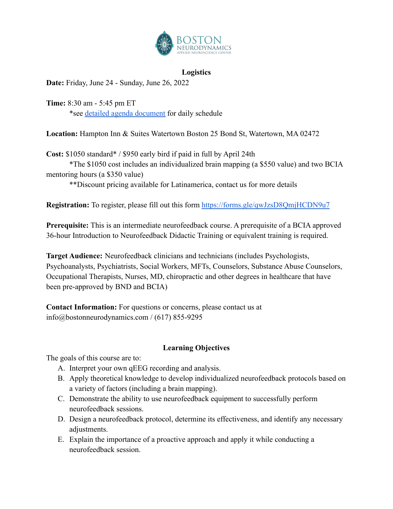

## **Logistics**

**Date:** Friday, June 24 - Sunday, June 26, 2022

**Time:** 8:30 am - 5:45 pm ET \*see [detailed agenda document](https://docs.google.com/document/d/16jM8TrgRDrKdi9O0Ic2xUdL13-xQ-DO8SBg5lRHK8-U/edit?usp=sharing) for daily schedule

**Location:** Hampton Inn & Suites Watertown Boston 25 Bond St, Watertown, MA 02472

**Cost:** \$1050 standard\* / \$950 early bird if paid in full by April 24th

\*The \$1050 cost includes an individualized brain mapping (a \$550 value) and two BCIA mentoring hours (a \$350 value)

\*\*Discount pricing available for Latinamerica, contact us for more details

**Registration:** To register, please fill out this form <https://forms.gle/qwJzsD8QmjHCDN9u7>

**Prerequisite:** This is an intermediate neurofeedback course. A prerequisite of a BCIA approved 36-hour Introduction to Neurofeedback Didactic Training or equivalent training is required.

**Target Audience:** Neurofeedback clinicians and technicians (includes Psychologists, Psychoanalysts, Psychiatrists, Social Workers, MFTs, Counselors, Substance Abuse Counselors, Occupational Therapists, Nurses, MD, chiropractic and other degrees in healthcare that have been pre-approved by BND and BCIA)

**Contact Information:** For questions or concerns, please contact us at info@bostonneurodynamics.com / (617) 855-9295

# **Learning Objectives**

The goals of this course are to:

- A. Interpret your own qEEG recording and analysis.
- B. Apply theoretical knowledge to develop individualized neurofeedback protocols based on a variety of factors (including a brain mapping).
- C. Demonstrate the ability to use neurofeedback equipment to successfully perform neurofeedback sessions.
- D. Design a neurofeedback protocol, determine its effectiveness, and identify any necessary adjustments.
- E. Explain the importance of a proactive approach and apply it while conducting a neurofeedback session.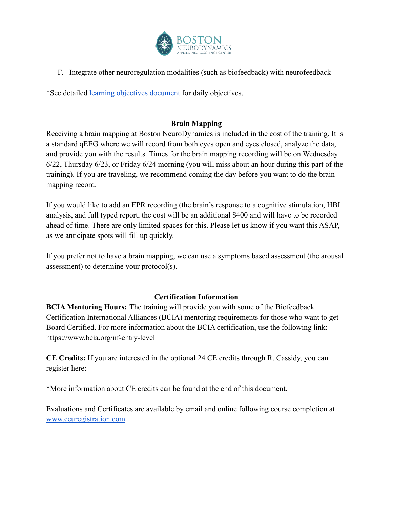

F. Integrate other neuroregulation modalities (such as biofeedback) with neurofeedback

\*See detailed [learning objectives document](https://docs.google.com/document/d/1-E7N0R6TgeVnccuDjNjtDc2mAEHHZcwF8DFO0468ymQ/edit?usp=sharing) for daily objectives.

# **Brain Mapping**

Receiving a brain mapping at Boston NeuroDynamics is included in the cost of the training. It is a standard qEEG where we will record from both eyes open and eyes closed, analyze the data, and provide you with the results. Times for the brain mapping recording will be on Wednesday 6/22, Thursday 6/23, or Friday 6/24 morning (you will miss about an hour during this part of the training). If you are traveling, we recommend coming the day before you want to do the brain mapping record.

If you would like to add an EPR recording (the brain's response to a cognitive stimulation, HBI analysis, and full typed report, the cost will be an additional \$400 and will have to be recorded ahead of time. There are only limited spaces for this. Please let us know if you want this ASAP, as we anticipate spots will fill up quickly.

If you prefer not to have a brain mapping, we can use a symptoms based assessment (the arousal assessment) to determine your protocol(s).

# **Certification Information**

**BCIA Mentoring Hours:** The training will provide you with some of the Biofeedback Certification International Alliances (BCIA) mentoring requirements for those who want to get Board Certified. For more information about the BCIA certification, use the following link: https://www.bcia.org/nf-entry-level

**CE Credits:** If you are interested in the optional 24 CE credits through R. Cassidy, you can register here:

\*More information about CE credits can be found at the end of this document.

Evaluations and Certificates are available by email and online following course completion at [www.ceuregistration.com](http://www.ceuregistration.com)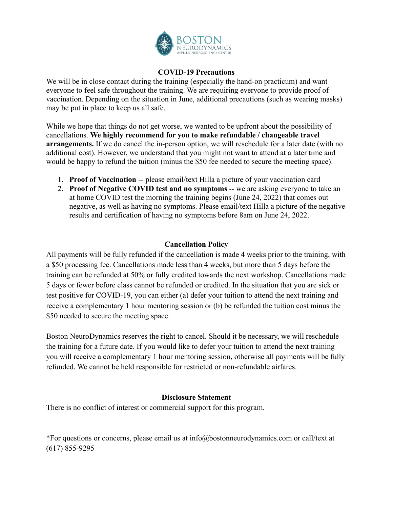

## **COVID-19 Precautions**

We will be in close contact during the training (especially the hand-on practicum) and want everyone to feel safe throughout the training. We are requiring everyone to provide proof of vaccination. Depending on the situation in June, additional precautions (such as wearing masks) may be put in place to keep us all safe.

While we hope that things do not get worse, we wanted to be upfront about the possibility of cancellations. **We highly recommend for you to make refundable / changeable travel arrangements.** If we do cancel the in-person option, we will reschedule for a later date (with no additional cost). However, we understand that you might not want to attend at a later time and would be happy to refund the tuition (minus the \$50 fee needed to secure the meeting space).

- 1. **Proof of Vaccination** -- please email/text Hilla a picture of your vaccination card
- 2. **Proof of Negative COVID test and no symptoms** -- we are asking everyone to take an at home COVID test the morning the training begins (June 24, 2022) that comes out negative, as well as having no symptoms. Please email/text Hilla a picture of the negative results and certification of having no symptoms before 8am on June 24, 2022.

## **Cancellation Policy**

All payments will be fully refunded if the cancellation is made 4 weeks prior to the training, with a \$50 processing fee. Cancellations made less than 4 weeks, but more than 5 days before the training can be refunded at 50% or fully credited towards the next workshop. Cancellations made 5 days or fewer before class cannot be refunded or credited. In the situation that you are sick or test positive for COVID-19, you can either (a) defer your tuition to attend the next training and receive a complementary 1 hour mentoring session or (b) be refunded the tuition cost minus the \$50 needed to secure the meeting space.

Boston NeuroDynamics reserves the right to cancel. Should it be necessary, we will reschedule the training for a future date. If you would like to defer your tuition to attend the next training you will receive a complementary 1 hour mentoring session, otherwise all payments will be fully refunded. We cannot be held responsible for restricted or non-refundable airfares.

# **Disclosure Statement**

There is no conflict of interest or commercial support for this program.

\*For questions or concerns, please email us at info@bostonneurodynamics.com or call/text at (617) 855-9295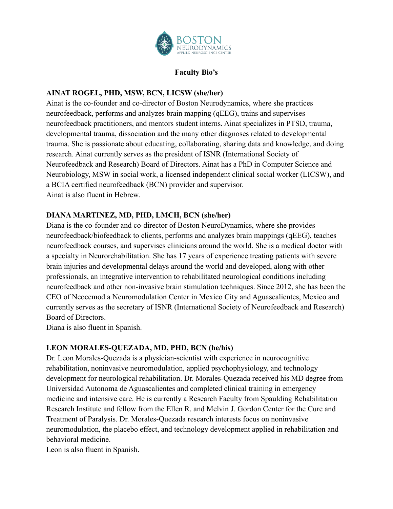

#### **Faculty Bio's**

## **AINAT ROGEL, PHD, MSW, BCN, LICSW (she/her)**

Ainat is the co-founder and co-director of Boston Neurodynamics, where she practices neurofeedback, performs and analyzes brain mapping (qEEG), trains and supervises neurofeedback practitioners, and mentors student interns. Ainat specializes in PTSD, trauma, developmental trauma, dissociation and the many other diagnoses related to developmental trauma. She is passionate about educating, collaborating, sharing data and knowledge, and doing research. Ainat currently serves as the president of ISNR (International Society of Neurofeedback and Research) Board of Directors. Ainat has a PhD in Computer Science and Neurobiology, MSW in social work, a licensed independent clinical social worker (LICSW), and a BCIA certified neurofeedback (BCN) provider and supervisor. Ainat is also fluent in Hebrew.

## **DIANA MARTINEZ, MD, PHD, LMCH, BCN (she/her)**

Diana is the co-founder and co-director of Boston NeuroDynamics, where she provides neurofeedback/biofeedback to clients, performs and analyzes brain mappings (qEEG), teaches neurofeedback courses, and supervises clinicians around the world. She is a medical doctor with a specialty in Neurorehabilitation. She has 17 years of experience treating patients with severe brain injuries and developmental delays around the world and developed, along with other professionals, an integrative intervention to rehabilitated neurological conditions including neurofeedback and other non-invasive brain stimulation techniques. Since 2012, she has been the CEO of Neocemod a Neuromodulation Center in Mexico City and Aguascalientes, Mexico and currently serves as the secretary of ISNR (International Society of Neurofeedback and Research) Board of Directors.

Diana is also fluent in Spanish.

#### **LEON MORALES-QUEZADA, MD, PHD, BCN (he/his)**

Dr. Leon Morales-Quezada is a physician-scientist with experience in neurocognitive rehabilitation, noninvasive neuromodulation, applied psychophysiology, and technology development for neurological rehabilitation. Dr. Morales-Quezada received his MD degree from Universidad Autonoma de Aguascalientes and completed clinical training in emergency medicine and intensive care. He is currently a Research Faculty from Spaulding Rehabilitation Research Institute and fellow from the Ellen R. and Melvin J. Gordon Center for the Cure and Treatment of Paralysis. Dr. Morales-Quezada research interests focus on noninvasive neuromodulation, the placebo effect, and technology development applied in rehabilitation and behavioral medicine.

Leon is also fluent in Spanish.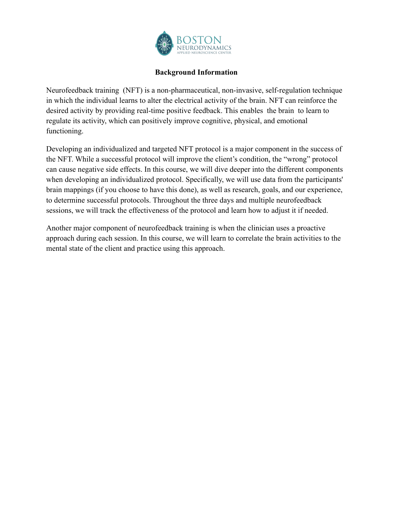

#### **Background Information**

Neurofeedback training (NFT) is a non-pharmaceutical, non-invasive, self-regulation technique in which the individual learns to alter the electrical activity of the brain. NFT can reinforce the desired activity by providing real-time positive feedback. This enables the brain to learn to regulate its activity, which can positively improve cognitive, physical, and emotional functioning.

Developing an individualized and targeted NFT protocol is a major component in the success of the NFT. While a successful protocol will improve the client's condition, the "wrong" protocol can cause negative side effects. In this course, we will dive deeper into the different components when developing an individualized protocol. Specifically, we will use data from the participants' brain mappings (if you choose to have this done), as well as research, goals, and our experience, to determine successful protocols. Throughout the three days and multiple neurofeedback sessions, we will track the effectiveness of the protocol and learn how to adjust it if needed.

Another major component of neurofeedback training is when the clinician uses a proactive approach during each session. In this course, we will learn to correlate the brain activities to the mental state of the client and practice using this approach.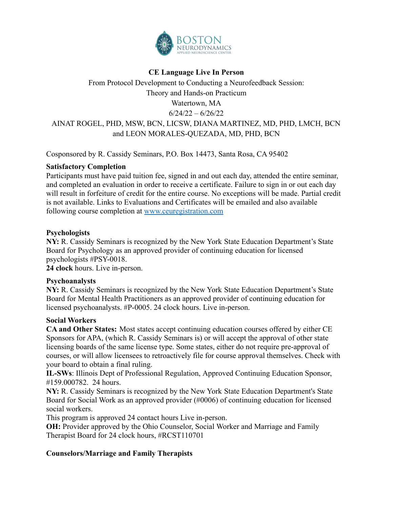

## **CE Language Live In Person**

From Protocol Development to Conducting a Neurofeedback Session: Theory and Hands-on Practicum Watertown, MA  $6/24/22 - 6/26/22$ AINAT ROGEL, PHD, MSW, BCN, LICSW, DIANA MARTINEZ, MD, PHD, LMCH, BCN and LEON MORALES-QUEZADA, MD, PHD, BCN

Cosponsored by R. Cassidy Seminars, P.O. Box 14473, Santa Rosa, CA 95402

#### **Satisfactory Completion**

Participants must have paid tuition fee, signed in and out each day, attended the entire seminar, and completed an evaluation in order to receive a certificate. Failure to sign in or out each day will result in forfeiture of credit for the entire course. No exceptions will be made. Partial credit is not available. Links to Evaluations and Certificates will be emailed and also available following course completion at [www.ceuregistration.com](http://www.ceuregistration.com)

## **Psychologists**

**NY:** R. Cassidy Seminars is recognized by the New York State Education Department's State Board for Psychology as an approved provider of continuing education for licensed psychologists #PSY-0018.

**24 clock** hours. Live in-person.

# **Psychoanalysts**

**NY:** R. Cassidy Seminars is recognized by the New York State Education Department's State Board for Mental Health Practitioners as an approved provider of continuing education for licensed psychoanalysts. #P-0005. 24 clock hours. Live in-person.

#### **Social Workers**

**CA and Other States:** Most states accept continuing education courses offered by either CE Sponsors for APA, (which R. Cassidy Seminars is) or will accept the approval of other state licensing boards of the same license type. Some states, either do not require pre-approval of courses, or will allow licensees to retroactively file for course approval themselves. Check with your board to obtain a final ruling.

**IL-SWs**: Illinois Dept of Professional Regulation, Approved Continuing Education Sponsor, #159.000782. 24 hours.

**NY:** R. Cassidy Seminars is recognized by the New York State Education Department's State Board for Social Work as an approved provider (#0006) of continuing education for licensed social workers.

This program is approved 24 contact hours Live in-person.

**OH:** Provider approved by the Ohio Counselor, Social Worker and Marriage and Family Therapist Board for 24 clock hours, #RCST110701

# **Counselors/Marriage and Family Therapists**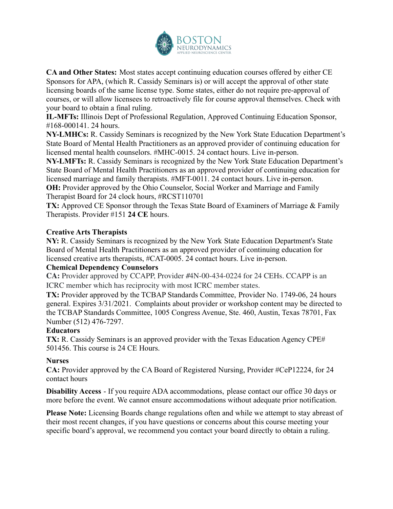

**CA and Other States:** Most states accept continuing education courses offered by either CE Sponsors for APA, (which R. Cassidy Seminars is) or will accept the approval of other state licensing boards of the same license type. Some states, either do not require pre-approval of courses, or will allow licensees to retroactively file for course approval themselves. Check with your board to obtain a final ruling.

**IL-MFTs:** Illinois Dept of Professional Regulation, Approved Continuing Education Sponsor, #168-000141. 24 hours.

**NY-LMHCs:** R. Cassidy Seminars is recognized by the New York State Education Department's State Board of Mental Health Practitioners as an approved provider of continuing education for licensed mental health counselors. #MHC-0015. 24 contact hours. Live in-person.

**NY-LMFTs:** R. Cassidy Seminars is recognized by the New York State Education Department's State Board of Mental Health Practitioners as an approved provider of continuing education for licensed marriage and family therapists. #MFT-0011. 24 contact hours. Live in-person. **OH:** Provider approved by the Ohio Counselor, Social Worker and Marriage and Family

Therapist Board for 24 clock hours, #RCST110701

**TX:** Approved CE Sponsor through the Texas State Board of Examiners of Marriage & Family Therapists. Provider #151 **24 CE** hours.

#### **Creative Arts Therapists**

**NY:** R. Cassidy Seminars is recognized by the New York State Education Department's State Board of Mental Health Practitioners as an approved provider of continuing education for licensed creative arts therapists, #CAT-0005. 24 contact hours. Live in-person.

#### **Chemical Dependency Counselors**

**CA:** Provider approved by CCAPP, Provider #4N-00-434-0224 for 24 CEHs. CCAPP is an ICRC member which has reciprocity with most ICRC member states.

**TX:** Provider approved by the TCBAP Standards Committee, Provider No. 1749-06, 24 hours general. Expires 3/31/2021. Complaints about provider or workshop content may be directed to the TCBAP Standards Committee, 1005 Congress Avenue, Ste. 460, Austin, Texas 78701, Fax Number (512) 476-7297.

#### **Educators**

**TX:** R. Cassidy Seminars is an approved provider with the Texas Education Agency CPE# 501456. This course is 24 CE Hours.

# **Nurses**

**CA:** Provider approved by the CA Board of Registered Nursing, Provider #CeP12224, for 24 contact hours

**Disability Access** - If you require ADA accommodations, please contact our office 30 days or more before the event. We cannot ensure accommodations without adequate prior notification.

**Please Note:** Licensing Boards change regulations often and while we attempt to stay abreast of their most recent changes, if you have questions or concerns about this course meeting your specific board's approval, we recommend you contact your board directly to obtain a ruling.